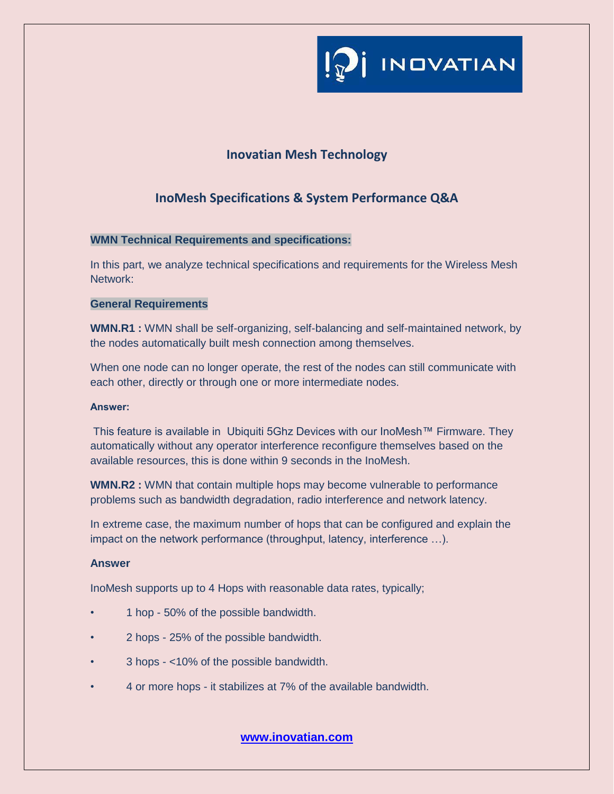

# **Inovatian Mesh Technology**

# **InoMesh Specifications & System Performance Q&A**

# **WMN Technical Requirements and specifications:**

In this part, we analyze technical specifications and requirements for the Wireless Mesh Network:

# **General Requirements**

**WMN.R1 :** WMN shall be self-organizing, self-balancing and self-maintained network, by the nodes automatically built mesh connection among themselves.

When one node can no longer operate, the rest of the nodes can still communicate with each other, directly or through one or more intermediate nodes.

### Answer:

This feature is available in Ubiquiti 5Ghz Devices with our InoMesh™ Firmware. They automatically without any operator interference reconfigure themselves based on the available resources, this is done within 9 seconds in the InoMesh.

**WMN.R2 :** WMN that contain multiple hops may become vulnerable to performance problems such as bandwidth degradation, radio interference and network latency.

In extreme case, the maximum number of hops that can be configured and explain the impact on the network performance (throughput, latency, interference …).

### **Answer**

InoMesh supports up to 4 Hops with reasonable data rates, typically;

- 1 hop 50% of the possible bandwidth.
- 2 hops 25% of the possible bandwidth.
- 3 hops <10% of the possible bandwidth.
- 4 or more hops it stabilizes at 7% of the available bandwidth.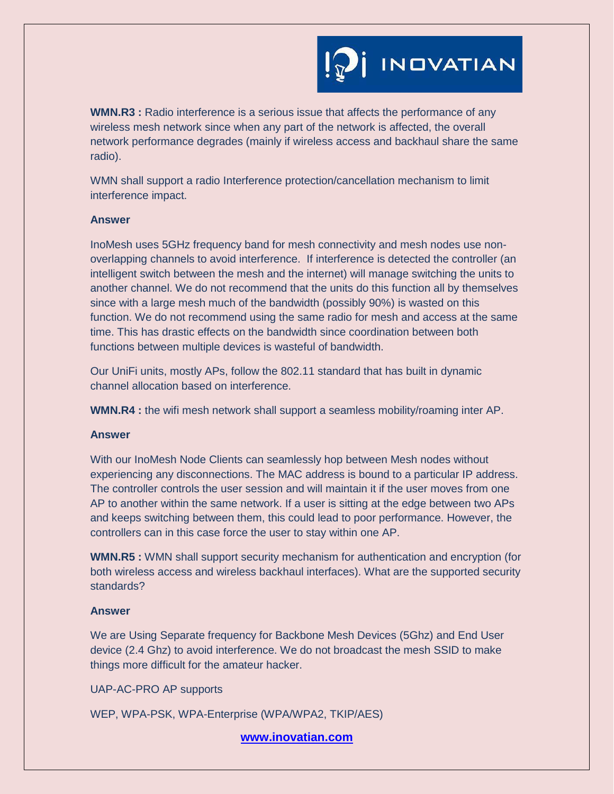

**WMN.R3 :** Radio interference is a serious issue that affects the performance of any wireless mesh network since when any part of the network is affected, the overall network performance degrades (mainly if wireless access and backhaul share the same radio).

WMN shall support a radio Interference protection/cancellation mechanism to limit interference impact.

#### **Answer**

InoMesh uses 5GHz frequency band for mesh connectivity and mesh nodes use nonoverlapping channels to avoid interference. If interference is detected the controller (an intelligent switch between the mesh and the internet) will manage switching the units to another channel. We do not recommend that the units do this function all by themselves since with a large mesh much of the bandwidth (possibly 90%) is wasted on this function. We do not recommend using the same radio for mesh and access at the same time. This has drastic effects on the bandwidth since coordination between both functions between multiple devices is wasteful of bandwidth.

Our UniFi units, mostly APs, follow the 802.11 standard that has built in dynamic channel allocation based on interference.

**WMN.R4 :** the wifi mesh network shall support a seamless mobility/roaming inter AP.

#### **Answer**

With our InoMesh Node Clients can seamlessly hop between Mesh nodes without experiencing any disconnections. The MAC address is bound to a particular IP address. The controller controls the user session and will maintain it if the user moves from one AP to another within the same network. If a user is sitting at the edge between two APs and keeps switching between them, this could lead to poor performance. However, the controllers can in this case force the user to stay within one AP.

**WMN.R5 :** WMN shall support security mechanism for authentication and encryption (for both wireless access and wireless backhaul interfaces). What are the supported security standards?

### **Answer**

We are Using Separate frequency for Backbone Mesh Devices (5Ghz) and End User device (2.4 Ghz) to avoid interference. We do not broadcast the mesh SSID to make things more difficult for the amateur hacker.

UAP-AC-PRO AP supports

WEP, WPA-PSK, WPA-Enterprise (WPA/WPA2, TKIP/AES)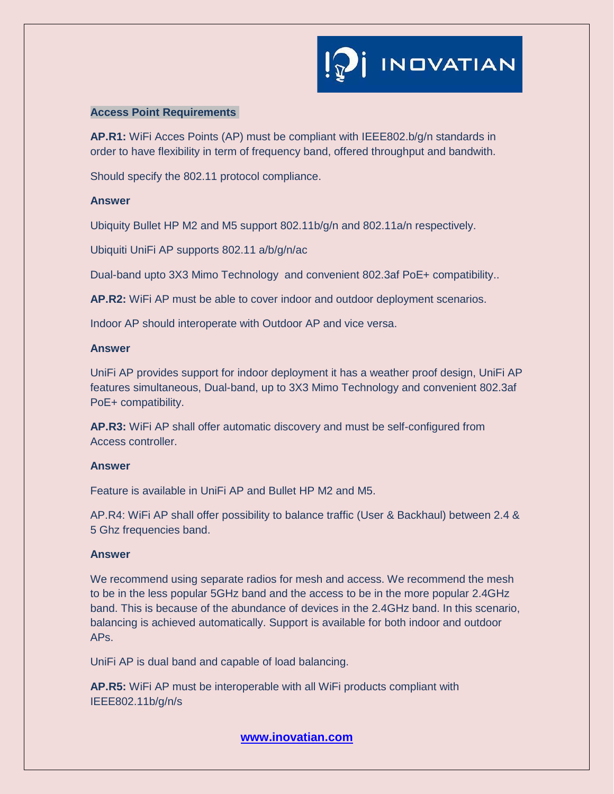### **Access Point Requirements**

**AP.R1:** WiFi Acces Points (AP) must be compliant with IEEE802.b/g/n standards in order to have flexibility in term of frequency band, offered throughput and bandwith.

Should specify the 802.11 protocol compliance.

# **Answer**

Ubiquity Bullet HP M2 and M5 support 802.11b/g/n and 802.11a/n respectively.

Ubiquiti UniFi AP supports 802.11 a/b/g/n/ac

Dual-band upto 3X3 Mimo Technology and convenient 802.3af PoE+ compatibility..

**AP.R2:** WiFi AP must be able to cover indoor and outdoor deployment scenarios.

Indoor AP should interoperate with Outdoor AP and vice versa.

## **Answer**

UniFi AP provides support for indoor deployment it has a weather proof design, UniFi AP features simultaneous, Dual-band, up to 3X3 Mimo Technology and convenient 802.3af PoE+ compatibility.

**AP.R3:** WiFi AP shall offer automatic discovery and must be self-configured from Access controller.

# **Answer**

Feature is available in UniFi AP and Bullet HP M2 and M5.

AP.R4: WiFi AP shall offer possibility to balance traffic (User & Backhaul) between 2.4 & 5 Ghz frequencies band.

# **Answer**

We recommend using separate radios for mesh and access. We recommend the mesh to be in the less popular 5GHz band and the access to be in the more popular 2.4GHz band. This is because of the abundance of devices in the 2.4GHz band. In this scenario, balancing is achieved automatically. Support is available for both indoor and outdoor APs.

UniFi AP is dual band and capable of load balancing.

**AP.R5:** WiFi AP must be interoperable with all WiFi products compliant with IEEE802.11b/g/n/s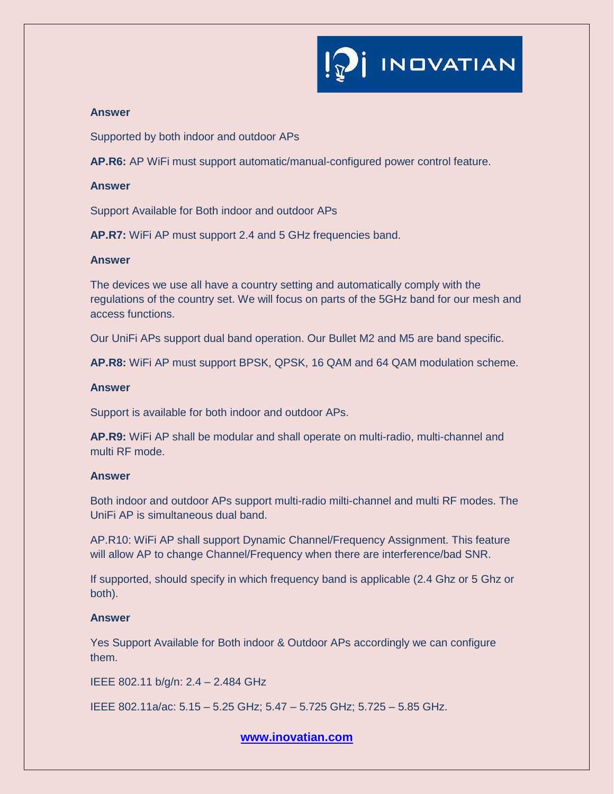

# **Answer**

Supported by both indoor and outdoor APs

**AP.R6:** AP WiFi must support automatic/manual-configured power control feature.

### **Answer**

Support Available for Both indoor and outdoor APs

**AP.R7:** WiFi AP must support 2.4 and 5 GHz frequencies band.

### **Answer**

The devices we use all have a country setting and automatically comply with the regulations of the country set. We will focus on parts of the 5GHz band for our mesh and access functions.

Our UniFi APs support dual band operation. Our Bullet M2 and M5 are band specific.

**AP.R8:** WiFi AP must support BPSK, QPSK, 16 QAM and 64 QAM modulation scheme.

### **Answer**

Support is available for both indoor and outdoor APs.

**AP.R9:** WiFi AP shall be modular and shall operate on multi-radio, multi-channel and multi RF mode.

### **Answer**

Both indoor and outdoor APs support multi-radio milti-channel and multi RF modes. The UniFi AP is simultaneous dual band.

AP.R10: WiFi AP shall support Dynamic Channel/Frequency Assignment. This feature will allow AP to change Channel/Frequency when there are interference/bad SNR.

If supported, should specify in which frequency band is applicable (2.4 Ghz or 5 Ghz or both).

## **Answer**

Yes Support Available for Both indoor & Outdoor APs accordingly we can configure them.

IEEE 802.11 b/g/n: 2.4 – 2.484 GHz

IEEE 802.11a/ac: 5.15 – 5.25 GHz; 5.47 – 5.725 GHz; 5.725 – 5.85 GHz.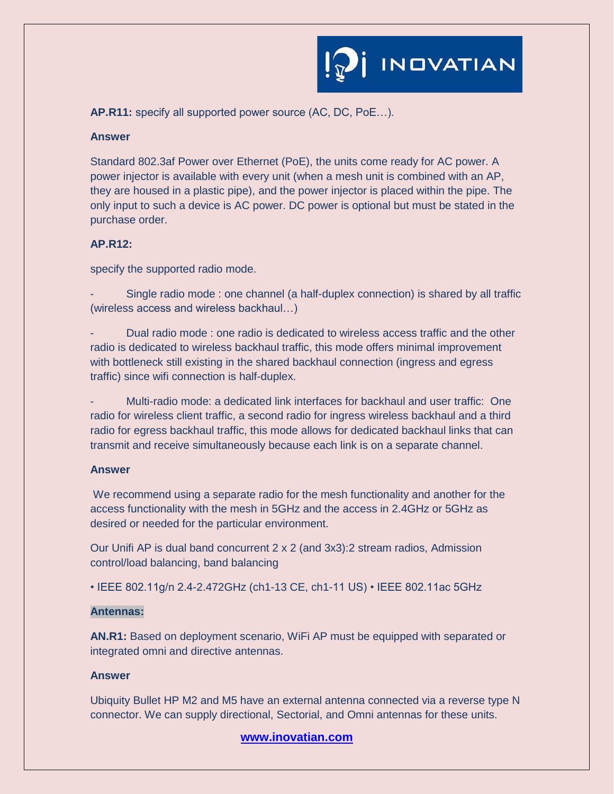

**AP.R11:** specify all supported power source (AC, DC, PoE…).

#### **Answer**

Standard 802.3af Power over Ethernet (PoE), the units come ready for AC power. A power injector is available with every unit (when a mesh unit is combined with an AP, they are housed in a plastic pipe), and the power injector is placed within the pipe. The only input to such a device is AC power. DC power is optional but must be stated in the purchase order.

## **AP.R12:**

specify the supported radio mode.

- Single radio mode : one channel (a half-duplex connection) is shared by all traffic (wireless access and wireless backhaul…)

- Dual radio mode : one radio is dedicated to wireless access traffic and the other radio is dedicated to wireless backhaul traffic, this mode offers minimal improvement with bottleneck still existing in the shared backhaul connection (ingress and egress traffic) since wifi connection is half-duplex.

- Multi-radio mode: a dedicated link interfaces for backhaul and user traffic: One radio for wireless client traffic, a second radio for ingress wireless backhaul and a third radio for egress backhaul traffic, this mode allows for dedicated backhaul links that can transmit and receive simultaneously because each link is on a separate channel.

## **Answer**

We recommend using a separate radio for the mesh functionality and another for the access functionality with the mesh in 5GHz and the access in 2.4GHz or 5GHz as desired or needed for the particular environment.

Our Unifi AP is dual band concurrent 2 x 2 (and 3x3):2 stream radios, Admission control/load balancing, band balancing

• IEEE 802.11g/n 2.4-2.472GHz (ch1-13 CE, ch1-11 US) • IEEE 802.11ac 5GHz

### **Antennas:**

**AN.R1:** Based on deployment scenario, WiFi AP must be equipped with separated or integrated omni and directive antennas.

### **Answer**

Ubiquity Bullet HP M2 and M5 have an external antenna connected via a reverse type N connector. We can supply directional, Sectorial, and Omni antennas for these units.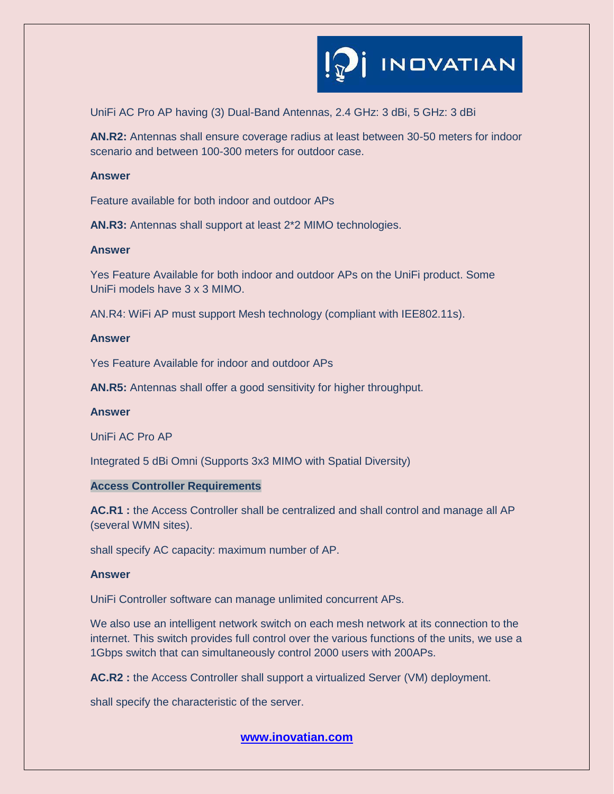

UniFi AC Pro AP having (3) Dual-Band Antennas, 2.4 GHz: 3 dBi, 5 GHz: 3 dBi

**AN.R2:** Antennas shall ensure coverage radius at least between 30-50 meters for indoor scenario and between 100-300 meters for outdoor case.

#### **Answer**

Feature available for both indoor and outdoor APs

**AN.R3:** Antennas shall support at least 2\*2 MIMO technologies.

#### **Answer**

Yes Feature Available for both indoor and outdoor APs on the UniFi product. Some UniFi models have 3 x 3 MIMO.

AN.R4: WiFi AP must support Mesh technology (compliant with IEE802.11s).

#### **Answer**

Yes Feature Available for indoor and outdoor APs

**AN.R5:** Antennas shall offer a good sensitivity for higher throughput.

# **Answer**

UniFi AC Pro AP

Integrated 5 dBi Omni (Supports 3x3 MIMO with Spatial Diversity)

### **Access Controller Requirements**

**AC.R1 :** the Access Controller shall be centralized and shall control and manage all AP (several WMN sites).

shall specify AC capacity: maximum number of AP.

#### **Answer**

UniFi Controller software can manage unlimited concurrent APs.

We also use an intelligent network switch on each mesh network at its connection to the internet. This switch provides full control over the various functions of the units, we use a 1Gbps switch that can simultaneously control 2000 users with 200APs.

**AC.R2 :** the Access Controller shall support a virtualized Server (VM) deployment.

shall specify the characteristic of the server.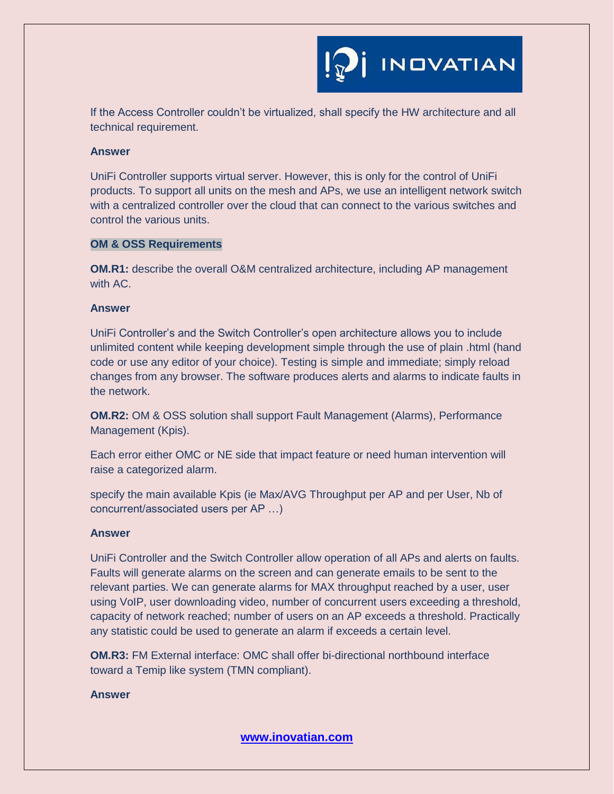**INDVATIAN** 

If the Access Controller couldn't be virtualized, shall specify the HW architecture and all technical requirement.

### **Answer**

UniFi Controller supports virtual server. However, this is only for the control of UniFi products. To support all units on the mesh and APs, we use an intelligent network switch with a centralized controller over the cloud that can connect to the various switches and control the various units.

# **OM & OSS Requirements**

**OM.R1:** describe the overall O&M centralized architecture, including AP management with AC.

# **Answer**

UniFi Controller's and the Switch Controller's open architecture allows you to include unlimited content while keeping development simple through the use of plain .html (hand code or use any editor of your choice). Testing is simple and immediate; simply reload changes from any browser. The software produces alerts and alarms to indicate faults in the network.

**OM.R2:** OM & OSS solution shall support Fault Management (Alarms), Performance Management (Kpis).

Each error either OMC or NE side that impact feature or need human intervention will raise a categorized alarm.

specify the main available Kpis (ie Max/AVG Throughput per AP and per User, Nb of concurrent/associated users per AP …)

### **Answer**

UniFi Controller and the Switch Controller allow operation of all APs and alerts on faults. Faults will generate alarms on the screen and can generate emails to be sent to the relevant parties. We can generate alarms for MAX throughput reached by a user, user using VoIP, user downloading video, number of concurrent users exceeding a threshold, capacity of network reached; number of users on an AP exceeds a threshold. Practically any statistic could be used to generate an alarm if exceeds a certain level.

**OM.R3:** FM External interface: OMC shall offer bi-directional northbound interface toward a Temip like system (TMN compliant).

## **Answer**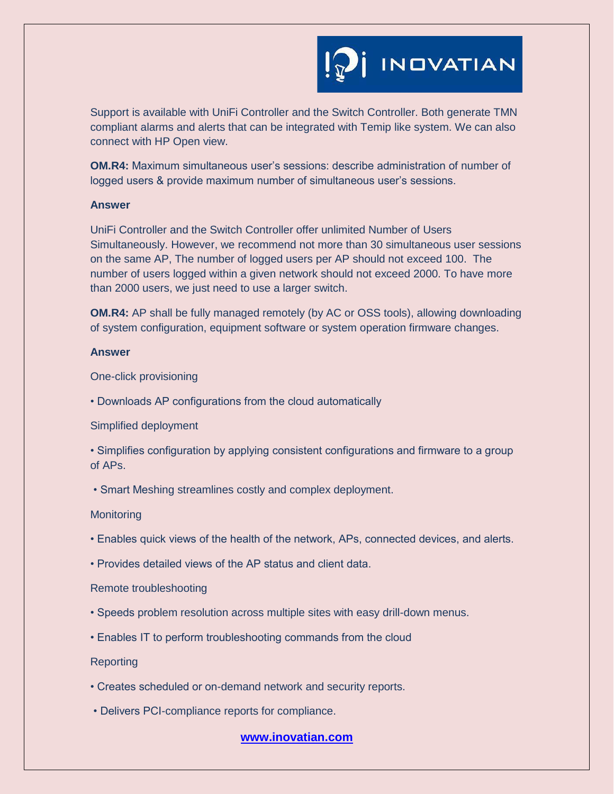

Support is available with UniFi Controller and the Switch Controller. Both generate TMN compliant alarms and alerts that can be integrated with Temip like system. We can also connect with HP Open view.

**OM.R4:** Maximum simultaneous user's sessions: describe administration of number of logged users & provide maximum number of simultaneous user's sessions.

#### **Answer**

UniFi Controller and the Switch Controller offer unlimited Number of Users Simultaneously. However, we recommend not more than 30 simultaneous user sessions on the same AP, The number of logged users per AP should not exceed 100. The number of users logged within a given network should not exceed 2000. To have more than 2000 users, we just need to use a larger switch.

**OM.R4:** AP shall be fully managed remotely (by AC or OSS tools), allowing downloading of system configuration, equipment software or system operation firmware changes.

#### **Answer**

One-click provisioning

• Downloads AP configurations from the cloud automatically

#### Simplified deployment

• Simplifies configuration by applying consistent configurations and firmware to a group of APs.

• Smart Meshing streamlines costly and complex deployment.

### **Monitoring**

- Enables quick views of the health of the network, APs, connected devices, and alerts.
- Provides detailed views of the AP status and client data.

#### Remote troubleshooting

- Speeds problem resolution across multiple sites with easy drill-down menus.
- Enables IT to perform troubleshooting commands from the cloud

# **Reporting**

- Creates scheduled or on-demand network and security reports.
- Delivers PCI-compliance reports for compliance.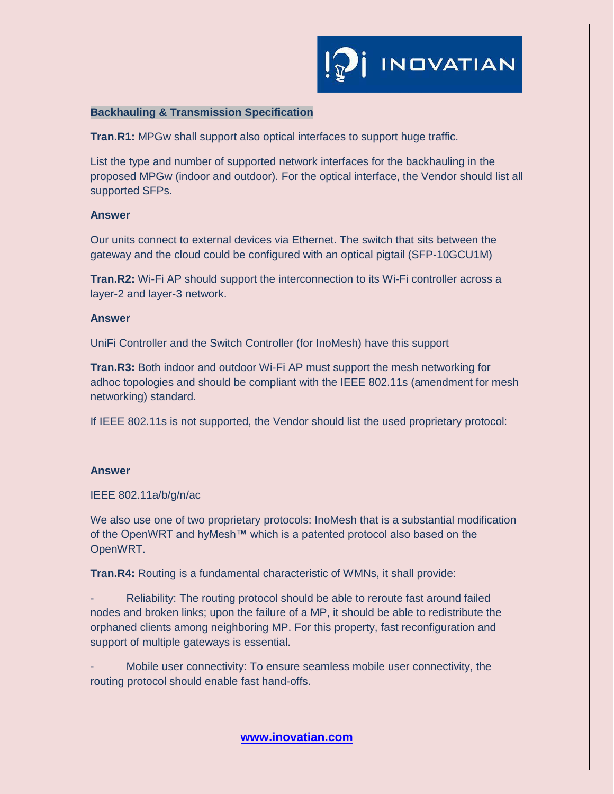# **Backhauling & Transmission Specification**

**Tran.R1:** MPGw shall support also optical interfaces to support huge traffic.

List the type and number of supported network interfaces for the backhauling in the proposed MPGw (indoor and outdoor). For the optical interface, the Vendor should list all supported SFPs.

### **Answer**

Our units connect to external devices via Ethernet. The switch that sits between the gateway and the cloud could be configured with an optical pigtail (SFP-10GCU1M)

**Tran.R2:** Wi-Fi AP should support the interconnection to its Wi-Fi controller across a layer-2 and layer-3 network.

### **Answer**

UniFi Controller and the Switch Controller (for InoMesh) have this support

**Tran.R3:** Both indoor and outdoor Wi-Fi AP must support the mesh networking for adhoc topologies and should be compliant with the IEEE 802.11s (amendment for mesh networking) standard.

If IEEE 802.11s is not supported, the Vendor should list the used proprietary protocol:

### **Answer**

IEEE 802.11a/b/g/n/ac

We also use one of two proprietary protocols: InoMesh that is a substantial modification of the OpenWRT and hyMesh™ which is a patented protocol also based on the OpenWRT.

**Tran.R4:** Routing is a fundamental characteristic of WMNs, it shall provide:

Reliability: The routing protocol should be able to reroute fast around failed nodes and broken links; upon the failure of a MP, it should be able to redistribute the orphaned clients among neighboring MP. For this property, fast reconfiguration and support of multiple gateways is essential.

Mobile user connectivity: To ensure seamless mobile user connectivity, the routing protocol should enable fast hand-offs.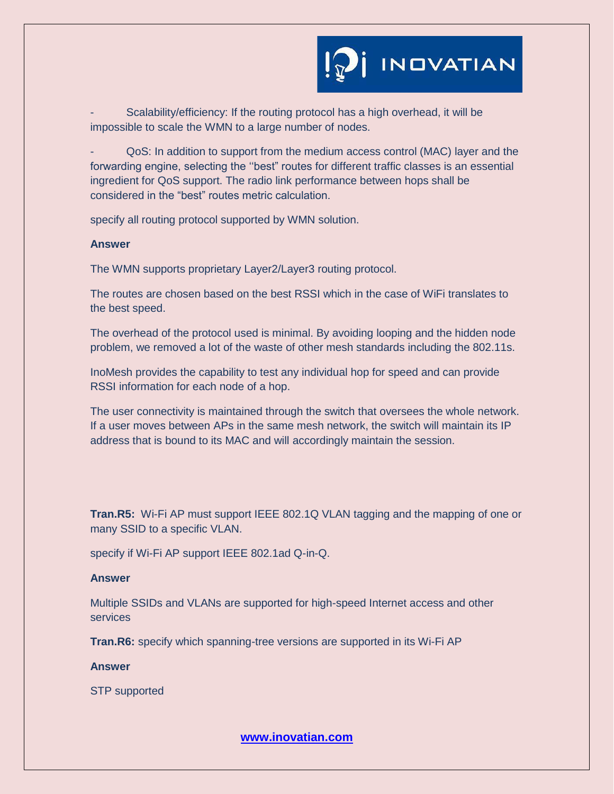

Scalability/efficiency: If the routing protocol has a high overhead, it will be impossible to scale the WMN to a large number of nodes.

- QoS: In addition to support from the medium access control (MAC) layer and the forwarding engine, selecting the ''best" routes for different traffic classes is an essential ingredient for QoS support. The radio link performance between hops shall be considered in the "best" routes metric calculation.

specify all routing protocol supported by WMN solution.

#### **Answer**

The WMN supports proprietary Layer2/Layer3 routing protocol.

The routes are chosen based on the best RSSI which in the case of WiFi translates to the best speed.

The overhead of the protocol used is minimal. By avoiding looping and the hidden node problem, we removed a lot of the waste of other mesh standards including the 802.11s.

InoMesh provides the capability to test any individual hop for speed and can provide RSSI information for each node of a hop.

The user connectivity is maintained through the switch that oversees the whole network. If a user moves between APs in the same mesh network, the switch will maintain its IP address that is bound to its MAC and will accordingly maintain the session.

**Tran.R5:** Wi-Fi AP must support IEEE 802.1Q VLAN tagging and the mapping of one or many SSID to a specific VLAN.

specify if Wi-Fi AP support IEEE 802.1ad Q-in-Q.

#### **Answer**

Multiple SSIDs and VLANs are supported for high-speed Internet access and other services

**Tran.R6:** specify which spanning-tree versions are supported in its Wi-Fi AP

## **Answer**

STP supported